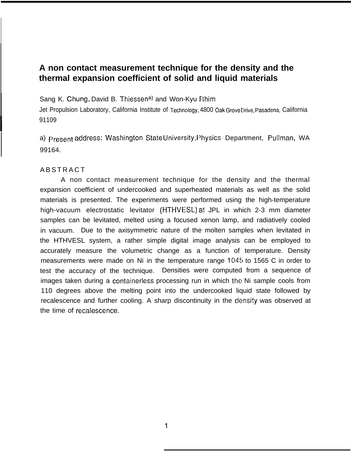## **A non contact measurement technique for the density and the thermal expansion coefficient of solid and liquid materials**

Sang K. Chung, David B. Thiessen<sup>a)</sup> and Won-Kyu Rhim

Jet Propulsion Laboratory, California Institute of Technology, 4800 Oak Grove Drive, Pasadena, California 91109

a) Present address: Washington State University, Physics Department, Pullman, WA 99164.

### **ABSTRACT**

**I**

I

A non contact measurement technique for the density and the thermal expansion coefficient of undercooked and superheated materials as well as the solid materials is presented. The experiments were performed using the high-temperature high-vacuum electrostatic levitator (HTHVESL) at JPL in which 2-3 mm diameter samples can be levitated, melted using a focused xenon lamp, and radiatively cooled in vacuum. Due to the axisymmetric nature of the molten samples when levitated in the HTHVESL system, a rather simple digital image analysis can be employed to accurately measure the volumetric change as a function of temperature. Density measurements were made on Ni in the temperature range 1045 to 1565 C in order to test the accuracy of the technique. Densities were computed from a sequence of images taken during a containerless processing run in which the Ni sample cools from 110 degrees above the melting point into the undercooked liquid state followed by recalescence and further cooling. A sharp discontinuity in the density was observed at the time of recalescence.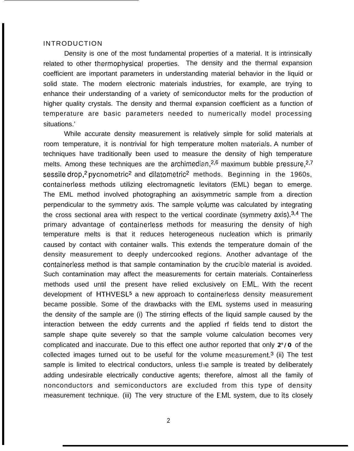### INTRODUCTION

Density is one of the most fundamental properties of a material. It is intrinsically related to other thermophysical properties. The density and the thermal expansion coefficient are important parameters in understanding material behavior in the liquid or solid state. The modern electronic materials industries, for example, are trying to enhance their understanding of a variety of semiconductor melts for the production of higher quality crystals. The density and thermal expansion coefficient as a function of temperature are basic parameters needed to numerically model processing situations.'

While accurate density measurement is relatively simple for solid materials at room temperature, it is nontrivial for high temperature molten materials. A number of techniques have traditionally been used to measure the density of high temperature melts. Among these techniques are the archimedian,<sup>2,6</sup> maximum bubble pressure,<sup>2,7</sup> sessile drop,<sup>2</sup> pycnometric<sup>2</sup> and dilatometric<sup>2</sup> methods. Beginning in the 1960s, containerless methods utilizing electromagnetic levitators (EML) began to emerge. The EML method involved photographing an axisymmetric sample from a direction perpendicular to the symmetry axis. The sample vcllume was calculated by integrating the cross sectional area with respect to the vertical coordinate (symmetry  $axis$ ).<sup>3,4</sup> The primary advantage of containerless methods for measuring the density of high temperature melts is that it reduces heterogeneous nucleation which is primarily caused by contact with container walls. This extends the temperature domain of the density measurement to deeply undercooked regions. Another advantage of the containerless method is that sample contamination by the crucible material is avoided. Such contamination may affect the measurements for certain materials. Containerless methods used until the present have relied exclusively on EML. With the recent development of HTHVESL<sup>5</sup> a new approach to containerless density measurement became possible. Some of the drawbacks with the EML systems used in measuring the density of the sample are (i) The stirring effects of the liquid sample caused by the interaction between the eddy currents and the applied rf fields tend to distort the sample shape quite severely so that the sample volume calculation becomes very complicated and inaccurate. Due to this effect one author reported that only **2°/0** of the collected images turned out to be useful for the volume measurement.<sup>3</sup> (ii) The test sample is limited to electrical conductors, unless the sample is treated by deliberately adding undesirable electrically conductive agents; therefore, almost all the family of nonconductors and semiconductors are excluded from this type of density measurement technique. (iii) The very structure of the EML system, due to its closely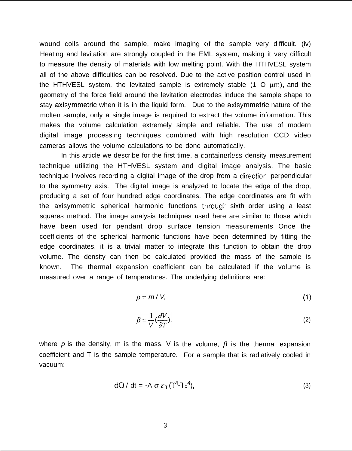wound coils around the sample, make imaging of the sample very difficult. (iv) Heating and levitation are strongly coupled in the EML system, making it very difficult to measure the density of materials with low melting point. With the HTHVESL system all of the above difficulties can be resolved. Due to the active position control used in the HTHVESL system, the levitated sample is extremely stable  $(1 \circ \mu m)$ , and the geometry of the force field around the levitation electrodes induce the sample shape to stay axisymmetric when it is in the liquid form. Due to the axisymmetric nature of the molten sample, only a single image is required to extract the volume information. This makes the volume calculation extremely simple and reliable. The use of modern digital image processing techniques combined with high resolution CCD video cameras allows the volume calculations to be done automatically.

In this article we describe for the first time, a containerless density measurement technique utilizing the HTHVESL system and digital image analysis. The basic technique involves recording a digital image of the drop from a ciirection perpendicular to the symmetry axis. The digital image is analyzed to locate the edge of the drop, producing a set of four hundred edge coordinates. The edge coordinates are fit with the axisymmetric spherical harmonic functions through sixth order using a least squares method. The image analysis techniques used here are similar to those which have been used for pendant drop surface tension measurements Once the coefficients of the spherical harmonic functions have been determined by fitting the edge coordinates, it is a trivial matter to integrate this function to obtain the drop volume. The density can then be calculated provided the mass of the sample is known. The thermal expansion coefficient can be calculated if the volume is measured over a range of temperatures. The underlying definitions are:

$$
\rho = m / V, \tag{1}
$$

$$
\beta = \frac{1}{V} \left( \frac{\partial V}{\partial T} \right). \tag{2}
$$

where p is the density, m is the mass, V is the volume,  $\beta$  is the thermal expansion coefficient and T is the sample temperature. For a sample that is radiatively cooled in vacuum:

$$
dQ / dt = -A \sigma \varepsilon_{T} (T^{4} - T_{b}^{4}), \qquad (3)
$$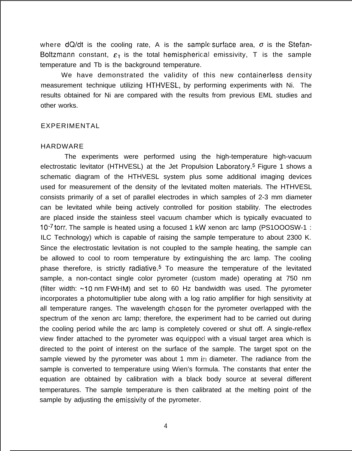where  $dQ/dt$  is the cooling rate, A is the sample surface area,  $\sigma$  is the Stefan-Boltzmann constant,  $\varepsilon_{\text{I}}$  is the total hemispherical emissivity, T is the sample temperature and Tb is the background temperature.

We have demonstrated the validity of this new containerless density measurement technique utilizing HTHVESL,, by performing experiments with Ni. The results obtained for Ni are compared with the results from previous EML studies and other works.

### EXPERIMENTAL

### HARDWARE

The experiments were performed using the high-temperature high-vacuum electrostatic levitator (HTHVESL) at the Jet Propulsion Laboratory.<sup>5</sup> Figure 1 shows a schematic diagram of the HTHVESL system plus some additional imaging devices used for measurement of the density of the levitated molten materials. The HTHVESL consists primarily of a set of parallel electrodes in which samples of 2-3 mm diameter can be levitated while being actively controlled for position stability. The electrodes are placed inside the stainless steel vacuum chamber which is typically evacuated to 10-7 torr. The sample is heated using a focused 1 kW xenon arc lamp (PS1OOOSW-1 : ILC Technology) which is capable of raising the sample temperature to about 2300 K. Since the electrostatic levitation is not coupled to the sample heating, the sample can be allowed to cool to room temperature by extinguishing the arc lamp. The cooling phase therefore, is strictly radiative.<sup>5</sup> To measure the temperature of the levitated sample, a non-contact single color pyrometer (custom made) operating at 750 nm (filter width:  $~10$  nm FWHM) and set to 60 Hz bandwidth was used. The pyrometer incorporates a photomultiplier tube along with a log ratio amplifier for high sensitivity at all temperature ranges. The wavelength chosen for the pyrometer overlapped with the spectrum of the xenon arc lamp; therefore, the experiment had to be carried out during the cooling period while the arc lamp is completely covered or shut off. A single-reflex view finder attached to the pyrometer was equippeci with a visual target area which is directed to the point of interest on the surface of the sample. The target spot on the sample viewed by the pyrometer was about 1 mm in diameter. The radiance from the sample is converted to temperature using Wien's formula. The constants that enter the equation are obtained by calibration with a black body source at several different temperatures. The sample temperature is then calibrated at the melting point of the sample by adjusting the emissivity of the pyrometer.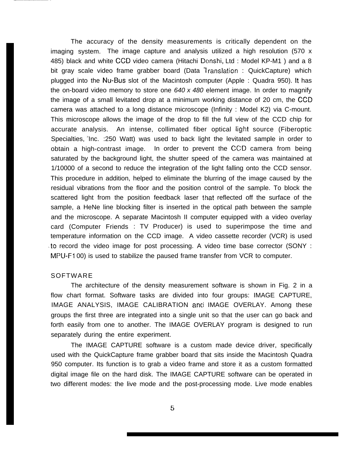The accuracy of the density measurements is critically dependent on the imaging system. The image capture and analysis utilized a high resolution (570 x 485) black and white CCD video camera (Hitachi Denshi, Ltd : Model KP-M1 ) and a 8 bit gray scale video frame grabber board (Data <sup>1</sup> ranslation : QuickCapture) which plugged into the NU-BUS slot of the Macintosh computer (Apple : Quadra 950). [t has the on-board video memory to store one  $640 \times 480$  element image. In order to magnify the image of a small levitated drop at a minimum working distance of 20 cm, the CCD camera was attached to a long distance microscope (Infinity : Model K2) via C-mount. This microscope allows the image of the drop to fill the full view of the CCD chip for accurate analysis. An intense, collimated fiber optical light source (Fiberoptic Specialties, 'Inc. : 250 Watt) was used to back light the levitated sample in order to obtain a high-contrast image. In order to prevent the CCD camera from being saturated by the background light, the shutter speed of the camera was maintained at 1/10000 of a second to reduce the integration of the light falling onto the CCD sensor. This procedure in addition, helped to eliminate the blurring of the image caused by the residual vibrations from the floor and the position control of the sample. To block the scattered light from the position feedback laser Ihat reflected off the surface of the sample, a HeNe line blocking filter is inserted in the optical path between the sample and the microscope. A separate Macintosh II computer equipped with a video overlay card (Computer Friends : TV Producer) is used to superimpose the time and temperature information on the CCD image. A video cassette recorder (VCR) is used to record the video image for post processing. A video time base corrector (SONY : MPU-F1 00) is used to stabilize the paused frame transfer from VCR to computer.

### SOFTWARE

The architecture of the density measurement software is shown in Fig. 2 in a flow chart format. Software tasks are divided into four groups: IMAGE CAPTURE, IMAGE ANALYSIS, IMAGE CALIBRATION and IMAGE OVERLAY. Among these groups the first three are integrated into a single unit so that the user can go back and forth easily from one to another. The IMAGE OVERLAY program is designed to run separately during the entire experiment.

The IMAGE CAPTURE software is a custom made device driver, specifically used with the QuickCapture frame grabber board that sits inside the Macintosh Quadra 950 computer. Its function is to grab a video frame and store it as a custom formatted digital image file on the hard disk. The IMAGE CAPTURE software can be operated in two different modes: the live mode and the post-processing mode. Live mode enables

5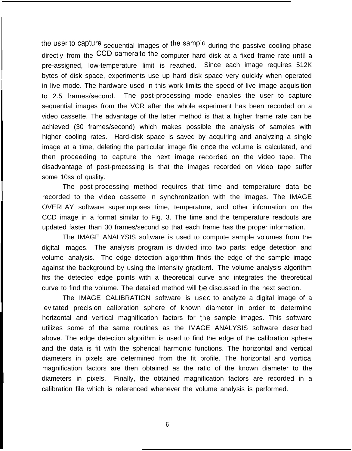the user to capture sequential images of the sample during the passive cooling phase directly from the CCD camera to the computer hard disk at a fixed frame rate until a pre-assigned, low-temperature limit is reached. Since each image requires 512K bytes of disk space, experiments use up hard disk space very quickly when operated in live mode. The hardware used in this work limits the speed of live image acquisition to 2.5 frames/second. The post-processing mode enables the user to capture sequential images from the VCR after the whole experiment has been recorded on a video cassette. The advantage of the latter method is that a higher frame rate can be achieved (30 frames/second) which makes possible the analysis of samples with higher cooling rates. Hard-disk space is saved by acquiring and analyzing a single image at a time, deleting the particular image file once the volume is calculated, and then proceeding to capture the next image rec;orded on the video tape. The disadvantage of post-processing is that the images recorded on video tape suffer **I** some 10ss of quality.

I

I

I

The post-processing method requires that time and temperature data be recorded to the video cassette in synchronization with the images. The IMAGE OVERLAY software superimposes time, temperature, and other information on the CCD image in a format similar to Fig. 3. The time and the temperature readouts are updated faster than 30 frames/second so that each frame has the proper information.

The IMAGE ANALYSIS software is used to compute sample volumes from the **I** digital images. The analysis program is divided into two parts: edge detection and volume analysis. The edge detection algorithm finds the edge of the sample image against the background by using the intensity gradient. The volume analysis algorithm fits the detected edge points with a theoretical curve and integrates the theoretical curve to find the volume. The detailed method will be discussed in the next section.

The IMAGE CALIBRATION software is used to analyze a digital image of a levitated precision calibration sphere of known diameter in order to determine horizontal and vertical magnification factors for the sample images. This software utilizes some of the same routines as the IMAGE ANALYSIS software described above. The edge detection algorithm is used to find the edge of the calibration sphere and the data is fit with the spherical harmonic functions. The horizontal and vertical diameters in pixels are determined from the fit profile. The horizontal and vertical magnification factors are then obtained as the ratio of the known diameter to the diameters in pixels. Finally, the obtained magnification factors are recorded in a calibration file which is referenced whenever the volume analysis is performed.

6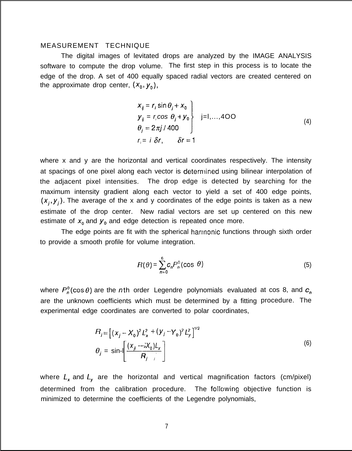### MEASUREMENT TECHNIQUE

The digital images of levitated drops are analyzed by the IMAGE ANALYSIS software to compute the drop volume. The first step in this process is to locate the edge of the drop. A set of 400 equally spaced radial vectors are created centered on the approximate drop center,  $(x_0, y_0)$ ,

$$
x_{ij} = r_i \sin \theta_j + x_0
$$
  
\n
$$
y_{ij} = r_i \cos \theta_j + y_0
$$
  
\n
$$
\theta_j = 2\pi j / 400
$$
  
\n
$$
r_i = i \delta r, \qquad \delta r = 1
$$
\n(4)

where x and y are the horizontal and vertical coordinates respectively. The intensity at spacings of one pixel along each vector is determined using bilinear interpolation of the adjacent pixel intensities. The drop edge is detected by searching for the maximum intensity gradient along each vector to yield a set of 400 edge points,  $(x_i, y_i)$ . The average of the x and y coordinates of the edge points is taken as a new estimate of the drop center. New radial vectors are set up centered on this new estimate of  $x_0$  and  $y_0$  and edge detection is repeated once more.

The edge points are fit with the spherical harmonic functions through sixth order to provide a smooth profile for volume integration.

$$
R(\theta) = \sum_{n=0}^{6} c_n P_n^0(\cos \theta)
$$
 (5)

where  $P_n^0(\cos\theta)$  are the nth order Legendre polynomials evaluated at cos 8, and  $c_n$ are the unknown coefficients which must be determined by a fitting procedure. The experimental edge coordinates are converted to polar coordinates,

$$
B_{j} = \left[ (x_{j} - X_{0})^{2} L_{x}^{2} + (y_{j} - Y_{0})^{2} L_{y}^{2} \right]^{1/2}
$$
  
\n
$$
\theta_{j} = \sin \left[ \frac{(x_{jj} - X_{0})L_{x}}{R_{j}} \right]
$$
 (6)

where  $L_x$  and  $L_y$  are the horizontal and vertical magnification factors (cm/pixel) determined from the calibration procedure. The following objective function is minimized to determine the coefficients of the Legendre polynomials,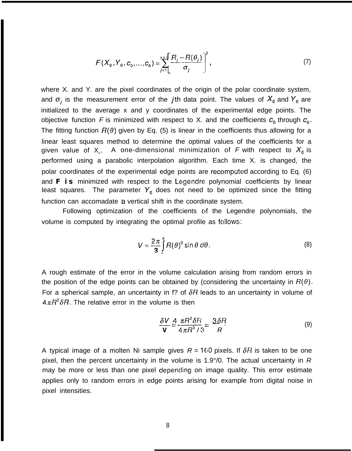$$
F(X_0, Y_0, C_0, ..., C_6) = \sum_{j=1}^{400} \left[ \frac{R_j - R(\theta_j)}{\sigma_j} \right]^2,
$$
 (7)

where X. and Y. are the pixel coordinates of the origin of the polar coordinate system, and  $\sigma_i$  is the measurement error of the jth data point. The values of  $X_0$  and  $Y_0$  are initialized to the average x and y coordinates of the experimental edge points. The objective function F is minimized with respect to X. and the coefficients  $c_0$  through  $c_6$ . The fitting function  $R(\theta)$  given by Eq. (5) is linear in the coefficients thus allowing for a linear least squares method to determine the optimal values of the coefficients for a given value of  $\mathsf{X}_{\circ}$ . A one-dimensional minimization of  $\mathsf F$  with respect to  $\mathsf{X}_{\mathsf{0}}$  is performed using a parabolic interpolation algorithm. Each time X. is changed, the polar coordinates of the experimental edge points are recomputed according to Eq. (6) and *F is* minimized with respect to the Legendre polynomial coefficients by linear least squares. The parameter  $Y_0$  does not need to be optimized since the fitting function can accomadate 'a vertical shift in the coordinate system.

Following optimization of the coefficients of the Legendre polynomials, the volume is computed by integrating the optimal profile as follows:

$$
V = \frac{2\pi}{3} \int_{0}^{\pi} R(\theta)^3 \sin \theta \ d\theta.
$$
 (8)

A rough estimate of the error in the volume calculation arising from random errors in the position of the edge points can be obtained by (considering the uncertainty in  $R(\theta)$ . For a spherical sample, an uncertainty in f? of  $\delta R$  leads to an uncertainty in volume of  $4\pi R^2 \delta R$ . The relative error in the volume is then

$$
\frac{\delta V}{\mathbf{V}} = \frac{4 \pi R^2 \delta H}{4 \pi R^3 / 3} = \frac{3 \delta R}{R}.
$$
 (9)

A typical image of a molten Ni sample gives  $R = 160$  pixels. If  $\delta R$  is taken to be one pixel, then the percent uncertainty in the volume is 1.9°/0. The actual uncertainty in R may be more or less than one pixel depenciing on image quality. This error estimate applies only to random errors in edge points arising for example from digital noise in pixel intensities.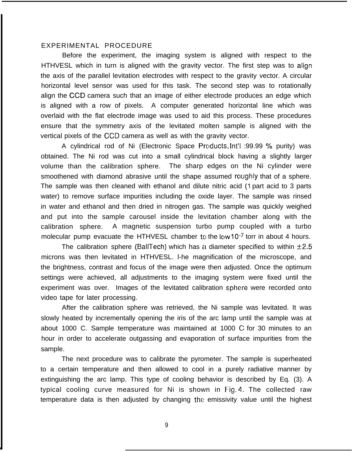### EXPERIMENTAL PROCEDURE

Before the experiment, the imaging system is aligned with respect to the HTHVESL which in turn is aligned with the gravity vector. The first step was to align the axis of the parallel levitation electrodes with respect to the gravity vector. A circular horizontal level sensor was used for this task. The second step was to rotationally align the CCD camera such that an image of either electrode produces an edge which is aligned with a row of pixels. A computer generated horizontal line which was overlaid with the flat electrode image was used to aid this process. These procedures ensure that the symmetry axis of the levitated molten sample is aligned with the vertical pixels of the CCD camera as well as with the gravity vector.

A cylindrical rod of Ni (Electronic Space Products, Int'l :99.99 % purity) was obtained. The Ni rod was cut into a small cylindrical block having a slightly larger volume than the calibration sphere. The sharp edges on the Ni cylinder were smoothened with diamond abrasive until the shape assumed roughly that of a sphere. The sample was then cleaned with ethanol and dilute nitric acid (1 part acid to 3 parts water) to remove surface impurities including the oxide layer. The sample was rinsed in water and ethanol and then dried in nitrogen gas. The sample was quickly weighed and put into the sample carousel inside the levitation chamber along with the calibration sphere. A magnetic suspension turbo pump coupled with a turbo molecular pump evacuate the HTHVESL chamber to the low 10 $\cdot$ 7 torr in about 4 hours.

The calibration sphere (BallTech) which has a diameter specified to within  $\pm 2.5$ microns was then levitated in HTHVESL. l-he magnification of the microscope, and the brightness, contrast and focus of the image were then adjusted. Once the optimum settings were achieved, all adjustments to the imaging system were fixed until the experiment was over. Images of the levitated calibration sphere were recorded onto video tape for later processing.

After the calibration sphere was retrieved, the Ni sample was levitated. It was slowly heated by incrementally opening the iris of the arc lamp until the sample was at about 1000 C. Sample temperature was maintained at 1000 C for 30 minutes to an hour in order to accelerate outgassing and evaporation of surface impurities from the sample.

The next procedure was to calibrate the pyrometer. The sample is superheated to a certain temperature and then allowed to cool in a purely radiative manner by extinguishing the arc lamp. This type of cooling behavior is described by Eq. (3). A typical cooling curve measured for Ni is shown in Fig. 4. The collected raw temperature data is then adjusted by changing the emissivity value until the highest

9

■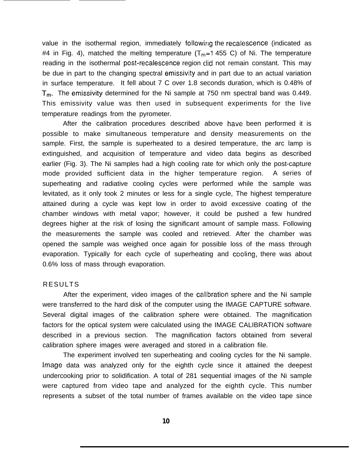value in the isothermal region, immediately following the recalescence (indicated as #4 in Fig. 4), matched the melting temperature ( $T_{m}=1$  455 C) of Ni. The temperature reading in the isothermal post-recalescence region did not remain constant. This may be due in part to the changing spectral emissivity and in part due to an actual variation in surface temperature. It fell about 7 C over 1.8 seconds duration, which is 0.48% of  $T_{m}$ . The emissivity determined for the Ni sample at 750 nm spectral band was 0.449. This emissivity value was then used in subsequent experiments for the live temperature readings from the pyrometer.

After the calibration procedures described above have been performed it is possible to make simultaneous temperature and density measurements on the sample. First, the sample is superheated to a desired temperature, the arc lamp is extinguished, and acquisition of temperature and video data begins as described earlier (Fig. 3). The Ni samples had a high cooling rate for which only the post-capture mode provided sufficient data in the higher temperature region. A series of superheating and radiative cooling cycles were performed while the sample was levitated, as it only took 2 minutes or less for a single cycle, The highest temperature attained during a cycle was kept low in order to avoid excessive coating of the chamber windows with metal vapor; however, it could be pushed a few hundred degrees higher at the risk of losing the significant amount of sample mass. Following the measurements the sample was cooled and retrieved. After the chamber was opened the sample was weighed once again for possible loss of the mass through evaporation. Typically for each cycle of superheating and cooling, there was about 0.6% loss of mass through evaporation.

### RESULTS

After the experiment, video images of the calibration sphere and the Ni sample were transferred to the hard disk of the computer using the IMAGE CAPTURE software. Several digital images of the calibration sphere were obtained. The magnification factors for the optical system were calculated using the IMAGE CALIBRATION software described in a previous section. The magnification factors obtained from several calibration sphere images were averaged and stored in a calibration file.

The experiment involved ten superheating and cooling cycles for the Ni sample. image data was analyzed only for the eighth cycle since it attained the deepest undercooking prior to solidification. A total of 281 sequential images of the Ni sample were captured from video tape and analyzed for the eighth cycle. This number represents a subset of the total number of frames available on the video tape since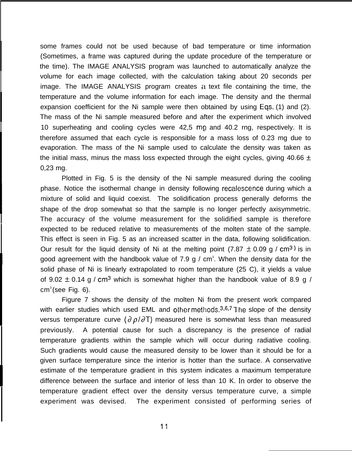some frames could not be used because of bad temperature or time information (Sometimes, a frame was captured during the update procedure of the temperature or the time). The IMAGE ANALYSIS program was launched to automatically analyze the volume for each image collected, with the calculation taking about 20 seconds per image. The IMAGE ANALYSIS program creates a text file containing the time, the temperature and the volume information for each image. The density and the thermal expansion coefficient for the Ni sample were then obtained by using Eqs. (1) and (2). The mass of the Ni sample measured before and after the experiment which involved 10 superheating and cooling cycles were 42,5 mg and 40.2 rng, respectively. It is therefore assumed that each cycle is responsible for a mass loss of 0.23 mg due to evaporation. The mass of the Ni sample used to calculate the density was taken as the initial mass, minus the mass loss expected through the eight cycles, giving 40.66  $\pm$ 0,23 mg.

I

**I**

I

I

**I**

I

**I**

Plotted in Fig. 5 is the density of the Ni sample measured during the cooling phase. Notice the isothermal change in density following recalescence during which a mixture of solid and liquid coexist. The solidification process generally deforms the **I** shape of the drop somewhat so that the sample is no longer perfectly axisymmetric. The accuracy of the volume measurement for the solidified sample is therefore expected to be reduced relative to measurements of the molten state of the sample. This effect is seen in Fig. 5 as an increased scatter in the data, following solidification. Our result for the liquid density of Ni at the melting point (7.87  $\pm$  0.09 g / cm<sup>3</sup>) is in good agreement with the handbook value of 7.9 g /  $cm<sup>3</sup>$ . When the density data for the solid phase of Ni is linearly extrapolated to room temperature (25 C), it yields a value of 9.02  $\pm$  0.14 g / cm<sup>3</sup> which is somewhat higher than the handbook value of 8.9 g /  $cm<sup>3</sup>$ (see Fig. 6).

Figure 7 shows the density of the molten Ni from the present work compared with earlier studies which used EML and other methods. $3,6,7$  The slope of the density versus temperature curve ( $\partial \rho / \partial T$ ) measured here is somewhat less than measured previously. A potential cause for such a discrepancy is the presence of radial temperature gradients within the sample which will occur during radiative cooling. Such gradients would cause the measured density to be lower than it should be for a given surface temperature since the interior is hotter than the surface. A conservative estimate of the temperature gradient in this system indicates a maximum temperature difference between the surface and interior of less than 10 K. In order to observe the temperature gradient effect over the density versus temperature curve, a simple experiment was devised. The experiment consisted of performing series of

11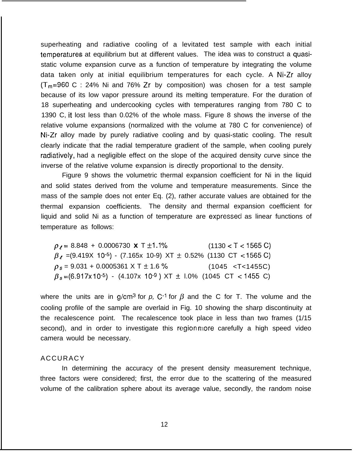superheating and radiative cooling of a levitated test sample with each initial temperatures at equilibrium but at different values. The idea was to construct a quasistatic volume expansion curve as a function of temperature by integrating the volume data taken only at initial equilibrium temperatures for each cycle. A Ni-Zr alloy  $(T_m=960 \text{ C} : 24\% \text{ Ni and } 76\% \text{ Zr by composition}$  was chosen for a test sample because of its low vapor pressure around its melting temperature. For the duration of 18 superheating and undercooking cycles with temperatures ranging from 780 C to 1390 C, it lost less than 0.02% of the whole mass. Figure 8 shows the inverse of the relative volume expansions (normalized with the volume at 780 C for convenience) of Ni-Zr alloy made by purely radiative cooling and by quasi-static cooling. The result . . clearly indicate that the radial temperature gradient of the sample, when cooling purely radiatively, had a negligible effect on the slope of the acquired density curve since the inverse of the relative volume expansion is directly proportional to the density.

Figure 9 shows the volumetric thermal expansion coefficient for Ni in the liquid and solid states derived from the volume and temperature measurements. Since the mass of the sample does not enter Eq. (2), rather accurate values are obtained for the thermal expansion coefficients. The density and thermal expansion coefficient for liquid and solid Ni as a function of temperature are expressed as linear functions of temperature as follows:

 $\rho$ <sub>l</sub> = 8.848 + 0.0006730 x T  $\pm$ 1.1% (1130 < T < 1565 C)  $\beta$ , =(9.419X 10<sup>-5</sup>) - (7.165x 10-9) XT  $\pm$  0.52% (1130 CT <1565 C)  $\rho_s = 9.031 + 0.0005361 \times T \pm 1.6 \%$  (1045 <T<1455C)  $\beta_s = (6.917 \times 10^{-5})$  - (4.107x 10<sup>-9</sup>) XT ± l.0% (1045 CT < 1455 C)

where the units are in g/cm<sup>3</sup> for p, C<sup>-1</sup> for  $\beta$  and the C for T. The volume and the cooling profile of the sample are overlaid in Fig. 10 showing the sharp discontinuity at the recalescence point. The recalescence took place in less than two frames (1/15 second), and in order to investigate this region more carefully a high speed video camera would be necessary.

### ACCURACY

In determining the accuracy of the present density measurement technique, three factors were considered; first, the error due to the scattering of the measured volume of the calibration sphere about its average value, secondly, the random noise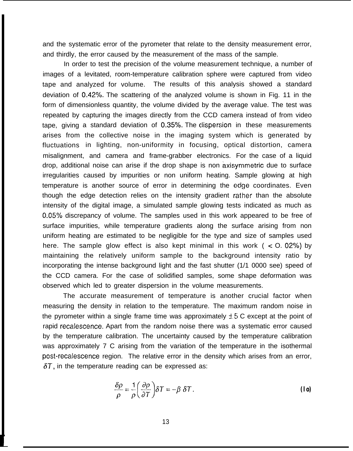and the systematic error of the pyrometer that relate to the density measurement error, and thirdly, the error caused by the measurement of the mass of the sample.

In order to test the precision of the volume measurement technique, a number of images of a levitated, room-temperature calibration sphere were captured from video tape and analyzed for volume. The results of this analysis showed a standard deviation of 0.42°/0. The scattering of the analyzed volume is shown in Fig. 11 in the form of dimensionless quantity, the volume divided by the average value. The test was repeated by capturing the images directly from the CCD camera instead of from video tape, giving a standard deviation of 0.35%. The dispersion in these measurements arises from the collective noise in the imaging system which is generated by fluctuations in lighting, non-uniformity in focusing, optical distortion, camera misalignment, and camera and frame-grabber electronics. For the case of a liquid drop, additional noise can arise if the drop shape is non axisymmetric due to surface irregularities caused by impurities or non uniform heating. Sample glowing at high temperature is another source of error in determining the ecjge coordinates. Even though the edge detection relies on the intensity gradient rather than the absolute intensity of the digital image, a simulated sample glowing tests indicated as much as 0.05% discrepancy of volume. The samples used in this work appeared to be free of surface impurities, while temperature gradients along the surface arising from non uniform heating are estimated to be negligible for the type and size of samples used here. The sample glow effect is also kept minimal in this work ( $\le$  O. 02%) by maintaining the relatively uniform sample to the background intensity ratio by incorporating the intense background light and the fast shutter (1/1 0000 see) speed of the CCD camera. For the case of solidified samples, some shape deformation was observed which led to greater dispersion in the volume measurements.

The accurate measurement of temperature is another crucial factor when measuring the density in relation to the temperature. The maximum random noise in the pyrometer within a single frame time was approximately  $\pm 5$  C except at the point of rapid recalescence. Apart from the random noise there was a systematic error caused by the temperature calibration. The uncertainty caused by the temperature calibration was approximately 7 C arising from the variation of the temperature in the isothermal post-recalescence region. The relative error in the density which arises from an error,  $\delta T$ , in the temperature reading can be expressed as:

$$
\frac{\delta \rho}{\rho} = \frac{1}{\rho} \left( \frac{\partial \rho}{\partial \tau} \right) \delta T = -\beta \delta T. \tag{10}
$$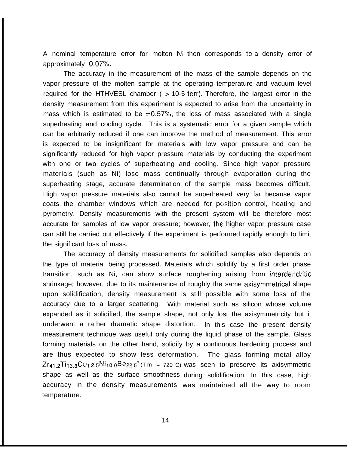A nominal temperature error for molten Ni then corresponds to a density error of approximately  $0.07\%$ .

The accuracy in the measurement of the mass of the sample depends on the vapor pressure of the molten sample at the operating temperature and vacuum level required for the HTHVESL chamber ( $>$  10-5 torr). Therefore, the largest error in the density measurement from this experiment is expected to arise from the uncertainty in mass which is estimated to be  $\pm 0.57\%$ , the loss of mass associated with a single superheating and cooling cycle. This is a systematic error for a given sample which can be arbitrarily reduced if one can improve the method of measurement. This error is expected to be insignificant for materials with low vapor pressure and can be significantly reduced for high vapor pressure materials by conducting the experiment with one or two cycles of superheating and cooling. Since high vapor pressure materials (such as Ni) lose mass continually through evaporation during the superheating stage, accurate determination of the sample mass becomes difficult. High vapor pressure materials also cannot be superheated very far because vapor coats the chamber windows which are needed for position control, heating and pyrometry. Density measurements with the present system will be therefore most accurate for samples of low vapor pressure; however, the higher vapor pressure case can still be carried out effectively if the experiment is performed rapidly enough to limit the significant loss of mass.

The accuracy of density measurements for solidified samples also depends on the type of material being processed. Materials which solidify by a first order phase transition, such as Ni, can show surface roughening arising from interdendritic shrinkage; however, due to its maintenance of roughly the same axisymmetrical shape upon solidification, density measurement is still possible with some loss of the accuracy due to a larger scattering. With material such as silicon whose volume expanded as it solidified, the sample shape, not only lost the axisymmetricity but it underwent a rather dramatic shape distortion. In this case the present density measurement technique was useful only during the liquid phase of the sample. Glass forming materials on the other hand, solidify by a continuous hardening process and are thus expected to show less deformation. The glass forming metal alloy  $Zr_{41}$   $ZT_{13,8}Cu_{12,5}Ni_{10,0}Be_{22,5}^{\circ}$  (Tm = 720 C) was seen to preserve its axisymmetric shape as well as the surface smoothness during solidification. In this case, high accuracy in the density measurements was maintained all the way to roomtemperature.

14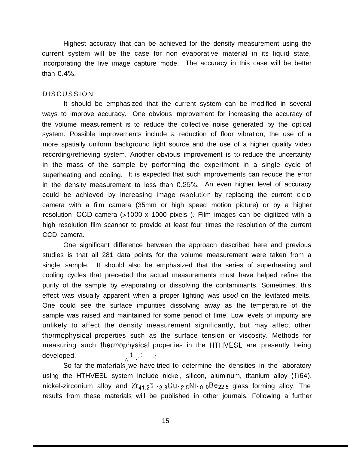Highest accuracy that can be achieved for the density measurement using the current system will be the case for non evaporative material in its liquid state, incorporating the live image capture mode. The accuracy in this case will be better than  $0.4\%$ .

### DISCUSSION

It should be emphasized that the current system can be modified in several ways to improve accuracy. One obvious improvement for increasing the accuracy of the volume measurement is to reduce the collective noise generated by the optical system. Possible improvements include a reduction of floor vibration, the use of a more spatially uniform background light source and the use of a higher quality video recording/retrieving system. Another obvious improvement is to reduce the uncertainty in the mass of the sample by performing the experiment in a single cycle of superheating and cooling. It is expected that such improvements can reduce the error in the density measurement to less than 0.25%. An even higher level of accuracy could be achieved by increasing image resolution by replacing the current CCD camera with a film camera (35mm or high speed motion picture) or by a higher resolution CCD camera (>1000 x 1000 pixels ). Film images can be digitized with a high resolution film scanner to provide at least four times the resolution of the current CCD camera.

One significant difference between the approach described here and previous studies is that all 281 data points for the volume measurement were taken from a single sample. It should also be emphasized that the series of superheating and cooling cycles that preceded the actual measurements must have helped refine the purity of the sample by evaporating or dissolving the contaminants. Sometimes, this effect was visually apparent when a proper lighting was used on the levitated melts. One could see the surface impurities dissolving away as the temperature of the sample was raised and maintained for some period of time. Low levels of impurity are unlikely to affect the density measurement significantly, but may affect other thermophysical properties such as the surface tension or viscosity. Methods for measuring such thermophysical properties in the HTHVESL are presently being<br>developed. ,, the strategies of the strategies of the HTHVESL are presently being

So far the materials, we have tried to determine the densities in the laboratory using the HTHVESL system include nickel, silicon, aluminum, titanium alloy (Ti64), nickel-zirconium alloy and  $Zr_{41.2}Ti_{13.8}Cu_{12.5}Ni_{10.0}Be_{22.5}$  glass forming alloy. The results from these materials will be published in other journals. Following a further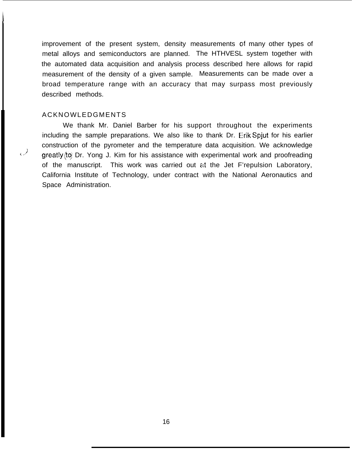improvement of the present system, density measurements of many other types of metal alloys and semiconductors are planned. The HTHVESL system together with the automated data acquisition and analysis process described here allows for rapid measurement of the density of a given sample. Measurements can be made over a broad temperature range with an accuracy that may surpass most previously described methods.

### ACKNOWLEDGMENTS

**I**

We thank Mr. Daniel Barber for his support throughout the experiments including the sample preparations. We also like to thank Dr. Erik Spjut for his earlier construction of the pyrometer and the temperature data acquisition. We acknowledge areas of the North Construction of the section of with averation and the section of the section of the section of the section of the secti greatly (to) Dr. Yong J. Kim for his assistance with experimental work and proofreading of the manuscript. This work was carried out at the Jet F'repulsion Laboratory, California Institute of Technology, under contract with the National Aeronautics and Space Administration.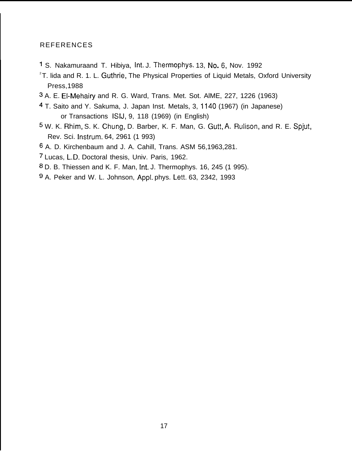### REFERENCES

- 1 S. Nakamuraand T. Hibiya, lnt. J. Thermophys. 13, No.6, Nov. 1992
- $2T$ . lida and R. 1. L. Guthrie, The Physical Properties of Liquid Metals, Oxford University Press,1988
- s A. E. E1-Mehairy and R. G. Ward, Trans. Met. Sot. AlME, 227, 1226 (1963)
- 4 T. Saito and Y. Sakuma, J. Japan Inst. Metals, 3, 1140 (1967) (in Japanese) or Transactions ISIJ, 9, 118 (1969) (in English)
- <sup>5</sup> W. K. Rhim, S. K. Chung, D. Barber, K. F. Man, G. Gutt, A. Rulison, and R. E. Spjut, Rev. Sci. Instrum. 64, 2961 (1 993)
- 6 A. D. Kirchenbaum and J. A. Cahill, Trans. ASM 56,1963,281.
- 7 Lucas, L.D. Doctoral thesis, Univ. Paris, 1962.
- a D. B. Thiessen and K. F. Man, lnt. J. Thermophys. 16, 245 (1 995).
- g A. Peker and W. L. Johnson, Appl. phys. Lett. 63, 2342, 1993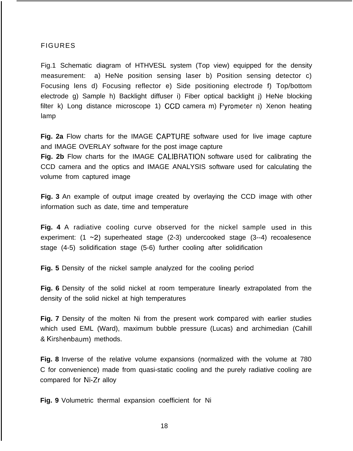### FIGURES

Fig.1 Schematic diagram of HTHVESL system (Top view) equipped for the density measurement: a) HeNe position sensing laser b) Position sensing detector c) Focusing lens d) Focusing reflector e) Side positioning electrode f) Top/bottom electrode g) Sample h) Backlight diffuser i) Fiber optical backlight j) HeNe blocking filter k) Long distance microscope 1) CCD camera m) F'yrometer n) Xenon heating lamp

**Fig. 2a** Flow charts for the IMAGE CAPTURE software used for live image capture and IMAGE OVERLAY software for the post image capture

**Fig. 2b** Flow charts for the IMAGE CALIBRATION software used for calibrating the CCD camera and the optics and IMAGE ANALYSIS software used for calculating the volume from captured image

**Fig. 3** An example of output image created by overlaying the CCD image with other information such as date, time and temperature

Fig. 4 A radiative cooling curve observed for the nickel sample used in this experiment: (1 ~2) superheated stage (2-3) undercooked stage (3--4) recoalesence stage (4-5) solidification stage (5-6) further cooling after solidification

**Fig. 5** Density of the nickel sample analyzed for the cooling period

**Fig. 6** Density of the solid nickel at room temperature linearly extrapolated from the density of the solid nickel at high temperatures

**Fig. 7** Density of the molten Ni from the present work compared with earlier studies which used EML (Ward), maximum bubble pressure (Lucas) and archimedian (Cahill & Kirshenbaum) methods.

**Fig. 8** Inverse of the relative volume expansions (normalized with the volume at 780 C for convenience) made from quasi-static cooling and the purely radiative cooling are compared for Ni-Zr alloy

**Fig. 9** Volumetric thermal expansion coefficient for Ni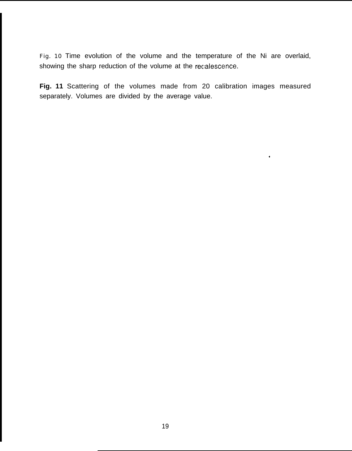Fig. 10 Time evolution of the volume and the temperature of the Ni are overlaid, showing the sharp reduction of the volume at the recalescence.

**Fig. 11** Scattering of the volumes made from 20 calibration images measured separately. Volumes are divided by the average value.

\*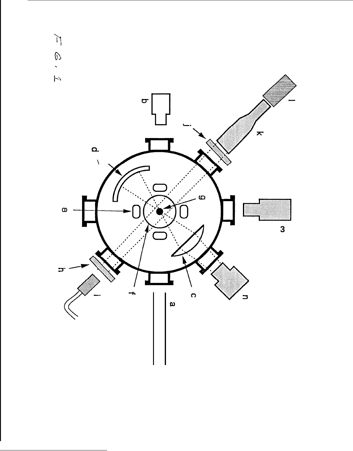

<sup>T</sup>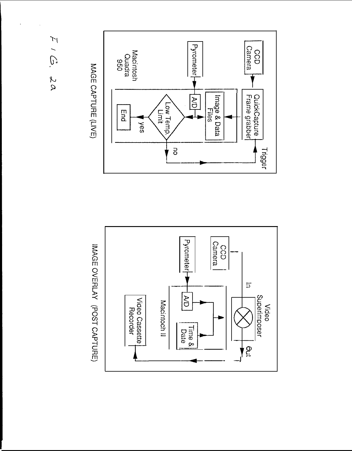



IMAGE OVERLAY (POST CAPTURE)

MAGE CAPTURE (LIVE)

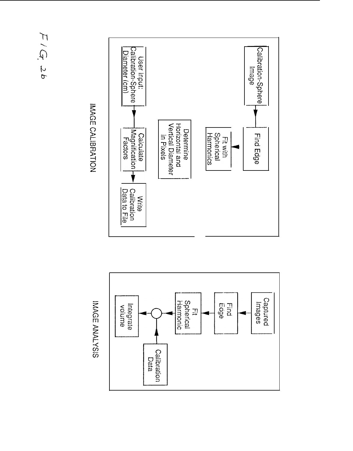## $F/G$ , 26

# IMAGE CALIBRATION





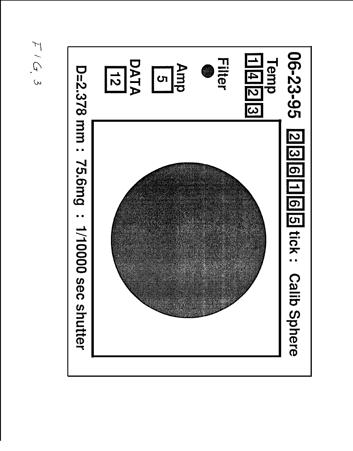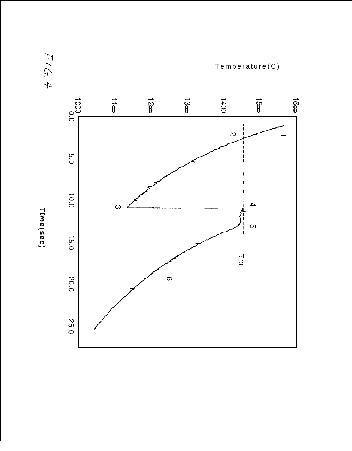

 $F/G$ . 4

Time(sec)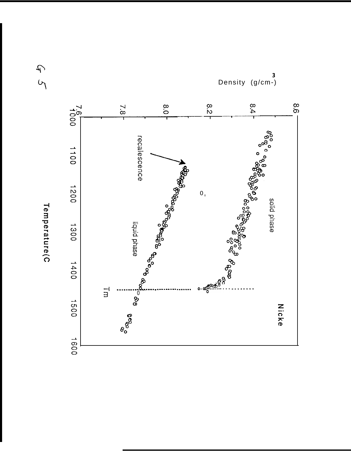



45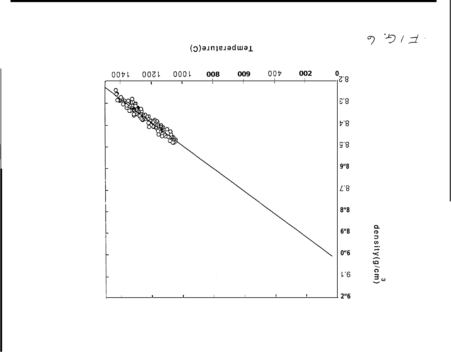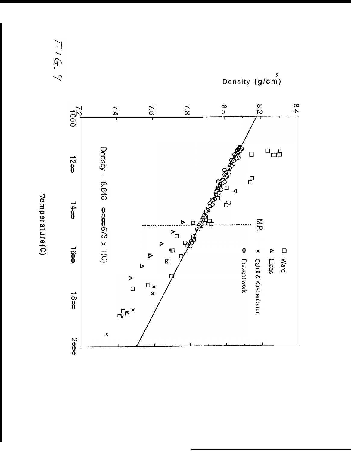エイケ、7

Density (g/cm)



Femperature(C)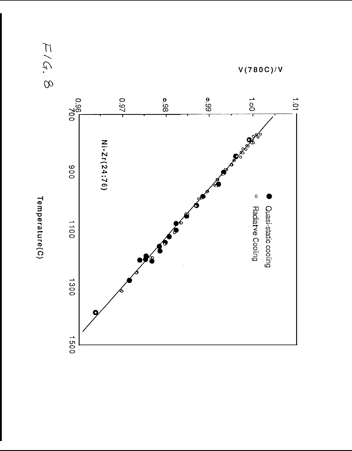

 $F/G$ . 8

 $V(780C)/V$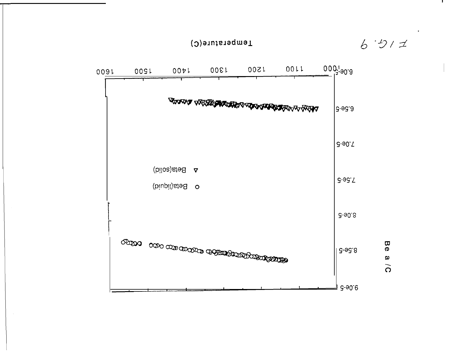

 $6.511$ 

 $\mathbf{I}$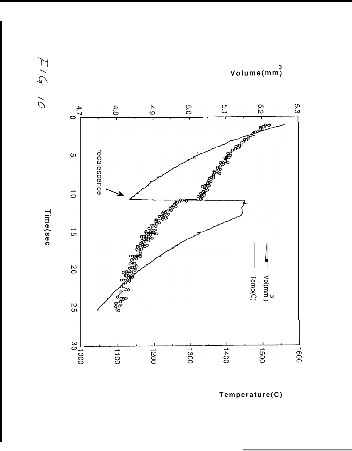

Time(sec

 $7.6.10$